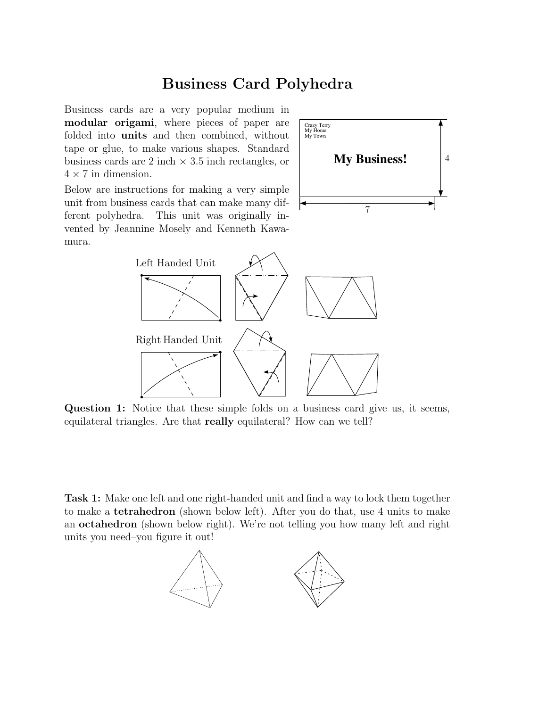## Business Card Polyhedra

Business cards are a very popular medium in modular origami, where pieces of paper are folded into units and then combined, without tape or glue, to make various shapes. Standard business cards are 2 inch  $\times$  3.5 inch rectangles, or  $4 \times 7$  in dimension.



Below are instructions for making a very simple unit from business cards that can make many different polyhedra. This unit was originally invented by Jeannine Mosely and Kenneth Kawamura.



Question 1: Notice that these simple folds on a business card give us, it seems, equilateral triangles. Are that really equilateral? How can we tell?

Task 1: Make one left and one right-handed unit and find a way to lock them together to make a tetrahedron (shown below left). After you do that, use 4 units to make an octahedron (shown below right). We're not telling you how many left and right units you need–you figure it out!

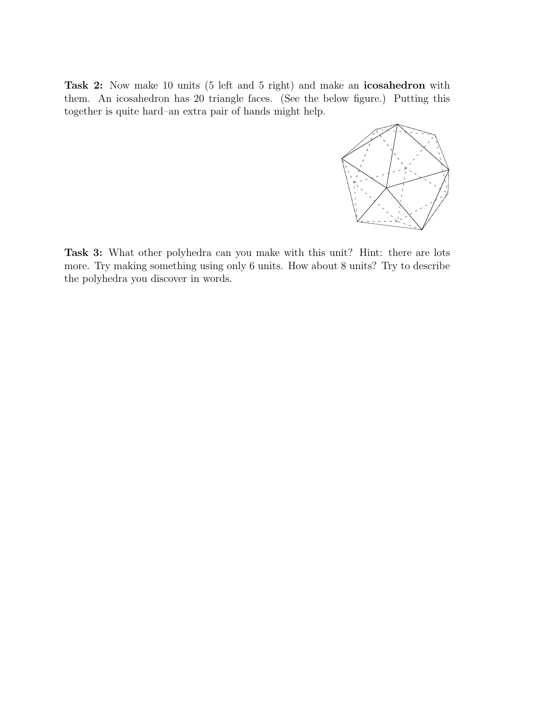Task 2: Now make 10 units (5 left and 5 right) and make an icosahedron with them. An icosahedron has 20 triangle faces. (See the below figure.) Putting this together is quite hard–an extra pair of hands might help.



Task 3: What other polyhedra can you make with this unit? Hint: there are lots more. Try making something using only 6 units. How about 8 units? Try to describe the polyhedra you discover in words.